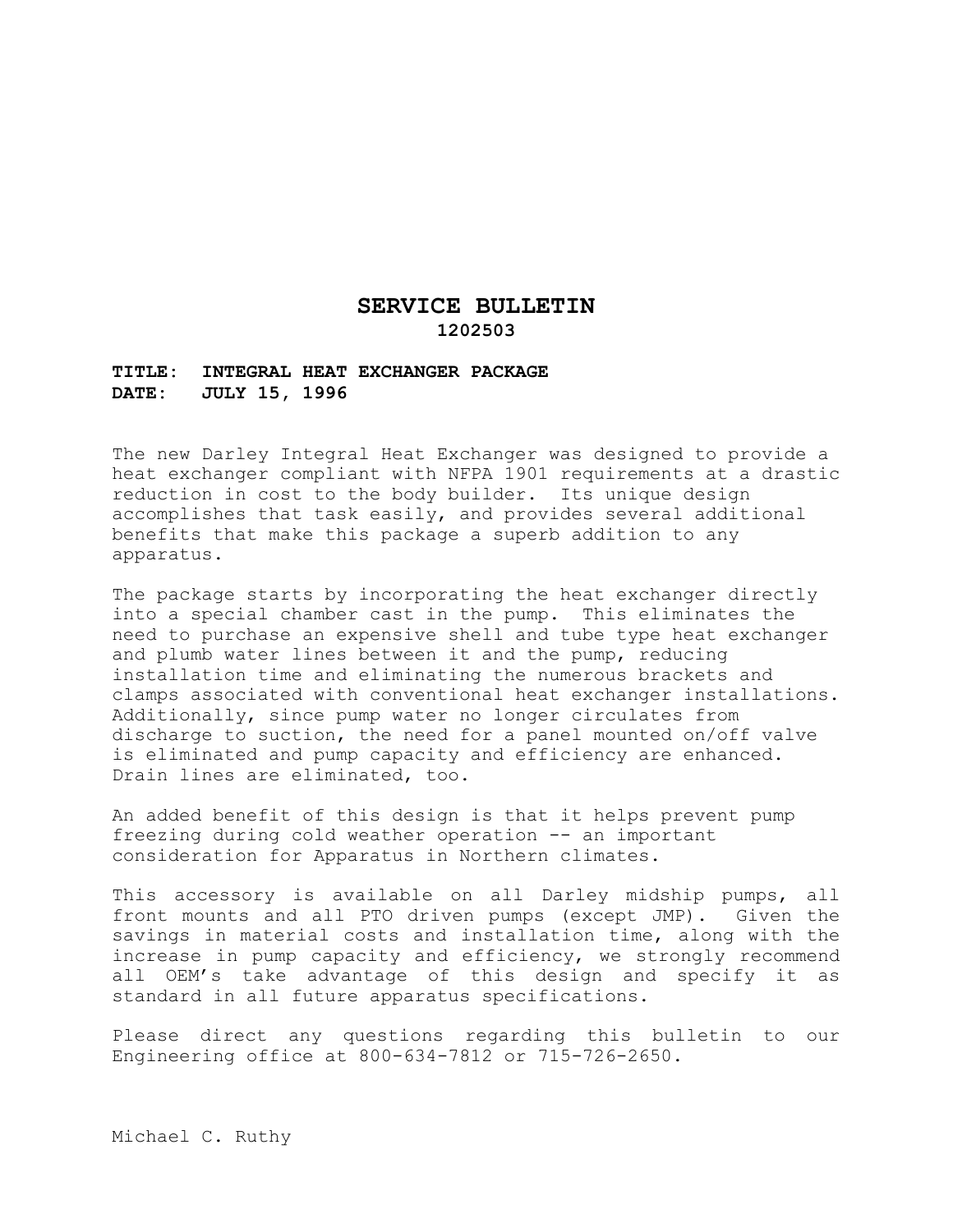## **SERVICE BULLETIN 1202503**

## **TITLE: INTEGRAL HEAT EXCHANGER PACKAGE DATE: JULY 15, 1996**

The new Darley Integral Heat Exchanger was designed to provide a heat exchanger compliant with NFPA 1901 requirements at a drastic reduction in cost to the body builder. Its unique design accomplishes that task easily, and provides several additional benefits that make this package a superb addition to any apparatus.

The package starts by incorporating the heat exchanger directly into a special chamber cast in the pump. This eliminates the need to purchase an expensive shell and tube type heat exchanger and plumb water lines between it and the pump, reducing installation time and eliminating the numerous brackets and clamps associated with conventional heat exchanger installations. Additionally, since pump water no longer circulates from discharge to suction, the need for a panel mounted on/off valve is eliminated and pump capacity and efficiency are enhanced. Drain lines are eliminated, too.

An added benefit of this design is that it helps prevent pump freezing during cold weather operation -- an important consideration for Apparatus in Northern climates.

This accessory is available on all Darley midship pumps, all front mounts and all PTO driven pumps (except JMP). Given the savings in material costs and installation time, along with the increase in pump capacity and efficiency, we strongly recommend all OEM's take advantage of this design and specify it as standard in all future apparatus specifications.

Please direct any questions regarding this bulletin to our Engineering office at 800-634-7812 or 715-726-2650.

Michael C. Ruthy